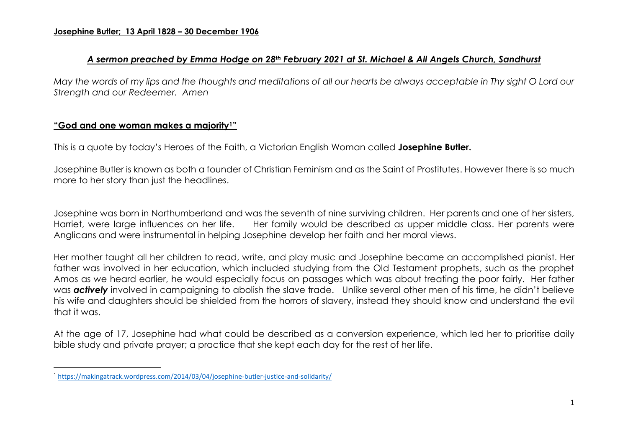### *A sermon preached by Emma Hodge on 28th February 2021 at St. Michael & All Angels Church, Sandhurst*

*May the words of my lips and the thoughts and meditations of all our hearts be always acceptable in Thy sight O Lord our Strength and our Redeemer. Amen*

# **"God and one woman makes a majority1"**

 $\overline{a}$ 

This is a quote by today's Heroes of the Faith, a Victorian English Woman called **Josephine Butler.**

Josephine Butler is known as both a founder of Christian Feminism and as the Saint of Prostitutes. However there is so much more to her story than just the headlines.

Josephine was born in Northumberland and was the seventh of nine surviving children. Her parents and one of her sisters, Harriet, were large influences on her life. Her family would be described as upper middle class. Her parents were Anglicans and were instrumental in helping Josephine develop her faith and her moral views.

Her mother taught all her children to read, write, and play music and Josephine became an accomplished pianist. Her father was involved in her education, which included studying from the Old Testament prophets, such as the prophet Amos as we heard earlier, he would especially focus on passages which was about treating the poor fairly. Her father was *actively* involved in campaigning to abolish the slave trade. Unlike several other men of his time, he didn't believe his wife and daughters should be shielded from the horrors of slavery, instead they should know and understand the evil that it was.

At the age of 17, Josephine had what could be described as a conversion experience, which led her to prioritise daily bible study and private prayer; a practice that she kept each day for the rest of her life.

<sup>1</sup> <https://makingatrack.wordpress.com/2014/03/04/josephine-butler-justice-and-solidarity/>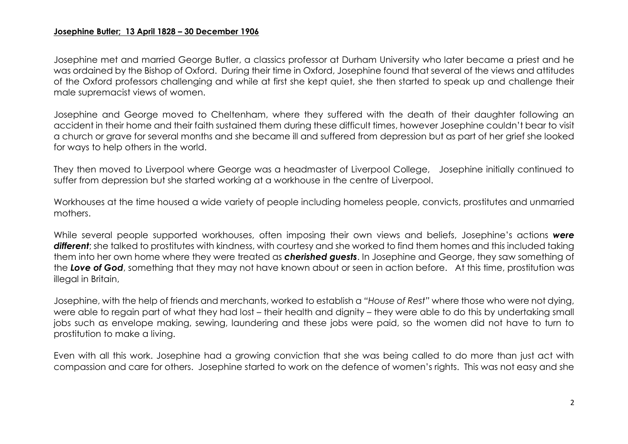Josephine met and married George Butler, a classics professor at Durham University who later became a priest and he was ordained by the Bishop of Oxford. During their time in Oxford, Josephine found that several of the views and attitudes of the Oxford professors challenging and while at first she kept quiet, she then started to speak up and challenge their male supremacist views of women.

Josephine and George moved to Cheltenham, where they suffered with the death of their daughter following an accident in their home and their faith sustained them during these difficult times, however Josephine couldn't bear to visit a church or grave for several months and she became ill and suffered from depression but as part of her grief she looked for ways to help others in the world.

They then moved to Liverpool where George was a headmaster of Liverpool College, Josephine initially continued to suffer from depression but she started working at a workhouse in the centre of Liverpool.

Workhouses at the time housed a wide variety of people including homeless people, convicts, prostitutes and unmarried mothers.

While several people supported workhouses, often imposing their own views and beliefs, Josephine's actions *were*  different; she talked to prostitutes with kindness, with courtesy and she worked to find them homes and this included taking them into her own home where they were treated as *cherished guests*. In Josephine and George, they saw something of the *Love of God*, something that they may not have known about or seen in action before. At this time, prostitution was illegal in Britain,

Josephine, with the help of friends and merchants, worked to establish a *"House of Rest"* where those who were not dying, were able to regain part of what they had lost – their health and dignity – they were able to do this by undertaking small jobs such as envelope making, sewing, laundering and these jobs were paid, so the women did not have to turn to prostitution to make a living.

Even with all this work. Josephine had a growing conviction that she was being called to do more than just act with compassion and care for others. Josephine started to work on the defence of women's rights. This was not easy and she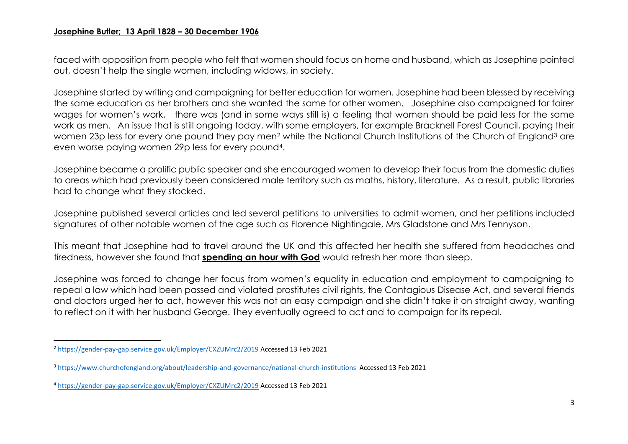faced with opposition from people who felt that women should focus on home and husband, which as Josephine pointed out, doesn't help the single women, including widows, in society.

Josephine started by writing and campaigning for better education for women. Josephine had been blessed by receiving the same education as her brothers and she wanted the same for other women. Josephine also campaigned for fairer wages for women's work, there was (and in some ways still is) a feeling that women should be paid less for the same work as men. An issue that is still ongoing today, with some employers, for example Bracknell Forest Council, paying their women 23p less for every one pound they pay men<sup>2</sup> while the National Church Institutions of the Church of England<sup>3</sup> are even worse paying women 29p less for every pound4.

Josephine became a prolific public speaker and she encouraged women to develop their focus from the domestic duties to areas which had previously been considered male territory such as maths, history, literature. As a result, public libraries had to change what they stocked.

Josephine published several articles and led several petitions to universities to admit women, and her petitions included signatures of other notable women of the age such as Florence Nightingale, Mrs Gladstone and Mrs Tennyson.

This meant that Josephine had to travel around the UK and this affected her health she suffered from headaches and tiredness, however she found that **spending an hour with God** would refresh her more than sleep.

Josephine was forced to change her focus from women's equality in education and employment to campaigning to repeal a law which had been passed and violated prostitutes civil rights, the Contagious Disease Act, and several friends and doctors urged her to act, however this was not an easy campaign and she didn't take it on straight away, wanting to reflect on it with her husband George. They eventually agreed to act and to campaign for its repeal.

 $\overline{\phantom{a}}$ 

<sup>2</sup> <https://gender-pay-gap.service.gov.uk/Employer/CXZUMrc2/2019> Accessed 13 Feb 2021

<sup>3</sup> <https://www.churchofengland.org/about/leadership-and-governance/national-church-institutions>Accessed 13 Feb 2021

<sup>4</sup> <https://gender-pay-gap.service.gov.uk/Employer/CXZUMrc2/2019> Accessed 13 Feb 2021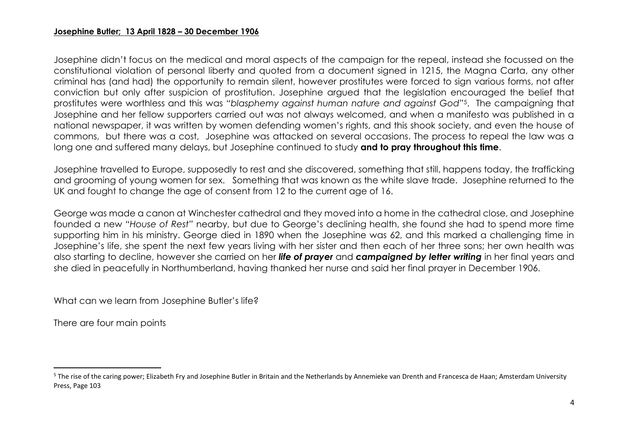Josephine didn't focus on the medical and moral aspects of the campaign for the repeal, instead she focussed on the constitutional violation of personal liberty and quoted from a document signed in 1215, the Magna Carta, any other criminal has (and had) the opportunity to remain silent, however prostitutes were forced to sign various forms, not after conviction but only after suspicion of prostitution. Josephine argued that the legislation encouraged the belief that prostitutes were worthless and this was "*blasphemy against human nature and against God*" <sup>5</sup>. The campaigning that Josephine and her fellow supporters carried out was not always welcomed, and when a manifesto was published in a national newspaper, it was written by women defending women's rights, and this shook society, and even the house of commons, but there was a cost, Josephine was attacked on several occasions. The process to repeal the law was a long one and suffered many delays, but Josephine continued to study **and to pray throughout this time**.

Josephine travelled to Europe, supposedly to rest and she discovered, something that still, happens today, the trafficking and grooming of young women for sex. Something that was known as the white slave trade. Josephine returned to the UK and fought to change the age of consent from 12 to the current age of 16.

George was made a canon at Winchester cathedral and they moved into a home in the cathedral close, and Josephine founded a new *"House of Rest"* nearby, but due to George's declining health, she found she had to spend more time supporting him in his ministry. George died in 1890 when the Josephine was 62, and this marked a challenging time in Josephine's life, she spent the next few years living with her sister and then each of her three sons; her own health was also starting to decline, however she carried on her *life of prayer* and *campaigned by letter writing* in her final years and she died in peacefully in Northumberland, having thanked her nurse and said her final prayer in December 1906.

What can we learn from Josephine Butler's life?

There are four main points

 $\overline{a}$ 

<sup>&</sup>lt;sup>5</sup> The rise of the caring power; Elizabeth Fry and Josephine Butler in Britain and the Netherlands by Annemieke van Drenth and Francesca de Haan; Amsterdam University Press, Page 103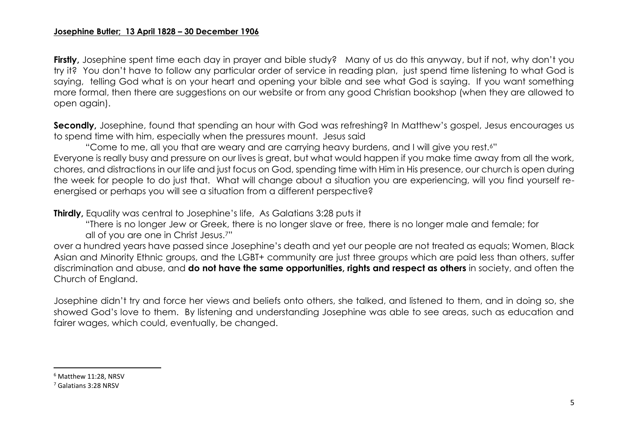**Firstly,** Josephine spent time each day in prayer and bible study? Many of us do this anyway, but if not, why don't you try it? You don't have to follow any particular order of service in reading plan, just spend time listening to what God is saying, telling God what is on your heart and opening your bible and see what God is saying. If you want something more formal, then there are suggestions on our website or from any good Christian bookshop (when they are allowed to open again).

**Secondly,** Josephine, found that spending an hour with God was refreshing? In Matthew's gospel, Jesus encourages us to spend time with him, especially when the pressures mount. Jesus said

"Come to me, all you that are weary and are carrying heavy burdens, and I will give you rest.6" Everyone is really busy and pressure on our lives is great, but what would happen if you make time away from all the work, chores, and distractions in our life and just focus on God, spending time with Him in His presence, our church is open during the week for people to do just that. What will change about a situation you are experiencing, will you find yourself reenergised or perhaps you will see a situation from a different perspective?

**Thirdly, Equality was central to Josephine's life, As Galatians 3:28 puts it** 

"There is no longer Jew or Greek, there is no longer slave or free, there is no longer male and female; for all of you are one in Christ Jesus.7"

over a hundred years have passed since Josephine's death and yet our people are not treated as equals; Women, Black Asian and Minority Ethnic groups, and the LGBT+ community are just three groups which are paid less than others, suffer discrimination and abuse, and **do not have the same opportunities, rights and respect as others** in society, and often the Church of England.

Josephine didn't try and force her views and beliefs onto others, she talked, and listened to them, and in doing so, she showed God's love to them. By listening and understanding Josephine was able to see areas, such as education and fairer wages, which could, eventually, be changed.

 $\overline{a}$ 

<sup>6</sup> Matthew 11:28, NRSV

<sup>7</sup> Galatians 3:28 NRSV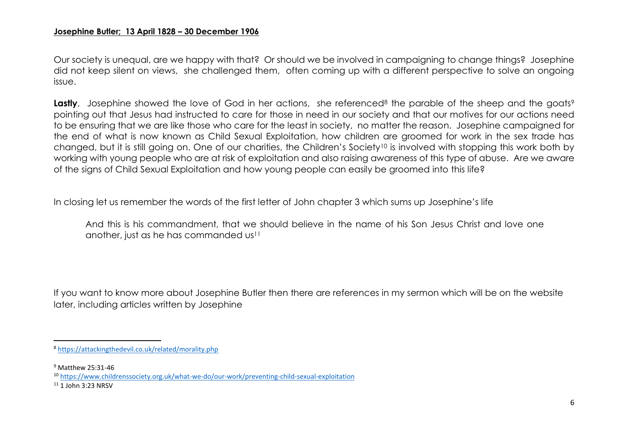Our society is unequal, are we happy with that? Or should we be involved in campaigning to change things? Josephine did not keep silent on views, she challenged them, often coming up with a different perspective to solve an ongoing issue.

**Lastly**, Josephine showed the love of God in her actions, she referenced<sup>8</sup> the parable of the sheep and the goats<sup>9</sup> pointing out that Jesus had instructed to care for those in need in our society and that our motives for our actions need to be ensuring that we are like those who care for the least in society, no matter the reason. Josephine campaigned for the end of what is now known as Child Sexual Exploitation, how children are groomed for work in the sex trade has changed, but it is still going on. One of our charities, the Children's Society<sup>10</sup> is involved with stopping this work both by working with young people who are at risk of exploitation and also raising awareness of this type of abuse. Are we aware of the signs of Child Sexual Exploitation and how young people can easily be groomed into this life?

In closing let us remember the words of the first letter of John chapter 3 which sums up Josephine's life

And this is his commandment, that we should believe in the name of his Son Jesus Christ and love one another, just as he has commanded us<sup>11</sup>

If you want to know more about Josephine Butler then there are references in my sermon which will be on the website later, including articles written by Josephine

 $\overline{\phantom{a}}$ 

<sup>8</sup> <https://attackingthedevil.co.uk/related/morality.php>

<sup>9</sup> Matthew 25:31-46

<sup>10</sup> <https://www.childrenssociety.org.uk/what-we-do/our-work/preventing-child-sexual-exploitation>

<sup>11</sup> 1 John 3:23 NRSV